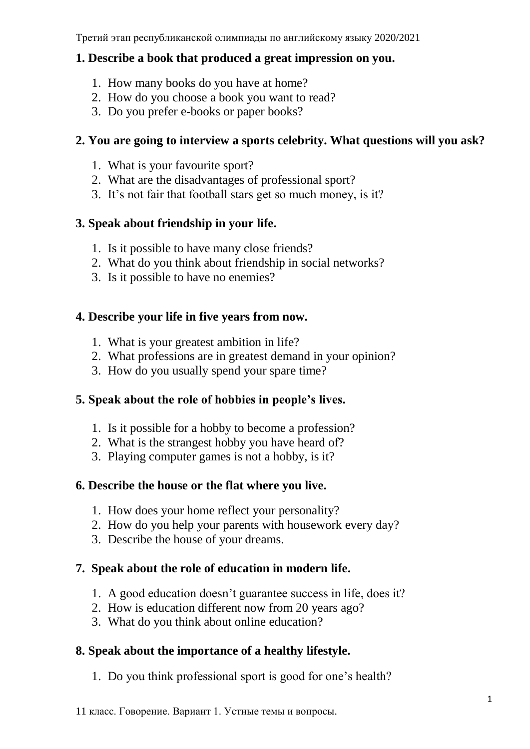#### **1. Describe a book that produced a great impression on you.**

- 1. How many books do you have at home?
- 2. How do you choose a book you want to read?
- 3. Do you prefer e-books or paper books?

## **2. You are going to interview a sports celebrity. What questions will you ask?**

- 1. What is your favourite sport?
- 2. What are the disadvantages of professional sport?
- 3. It's not fair that football stars get so much money, is it?

# **3. Speak about friendship in your life.**

- 1. Is it possible to have many close friends?
- 2. What do you think about friendship in social networks?
- 3. Is it possible to have no enemies?

# **4. Describe your life in five years from now.**

- 1. What is your greatest ambition in life?
- 2. What professions are in greatest demand in your opinion?
- 3. How do you usually spend your spare time?

# **5. Speak about the role of hobbies in people's lives.**

- 1. Is it possible for a hobby to become a profession?
- 2. What is the strangest hobby you have heard of?
- 3. Playing computer games is not a hobby, is it?

# **6. Describe the house or the flat where you live.**

- 1. How does your home reflect your personality?
- 2. How do you help your parents with housework every day?
- 3. Describe the house of your dreams.

# **7. Speak about the role of education in modern life.**

- 1. A good education doesn't guarantee success in life, does it?
- 2. How is education different now from 20 years ago?
- 3. What do you think about online education?

# **8. Speak about the importance of a healthy lifestyle.**

1. Do you think professional sport is good for one's health?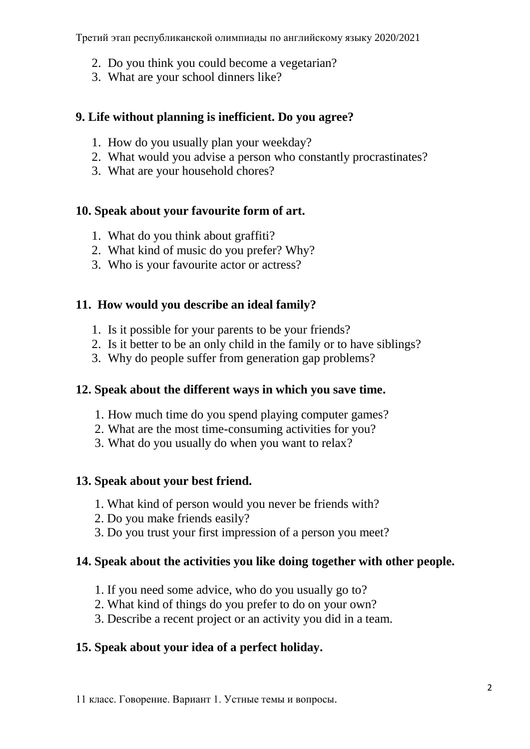- 2. Do you think you could become a vegetarian?
- 3. What are your school dinners like?

#### **9. Life without planning is inefficient. Do you agree?**

- 1. How do you usually plan your weekday?
- 2. What would you advise a person who constantly procrastinates?
- 3. What are your household chores?

## **10. Speak about your favourite form of art.**

- 1. What do you think about graffiti?
- 2. What kind of music do you prefer? Why?
- 3. Who is your favourite actor or actress?

## **11. How would you describe an ideal family?**

- 1. Is it possible for your parents to be your friends?
- 2. Is it better to be an only child in the family or to have siblings?
- 3. Why do people suffer from generation gap problems?

#### **12. Speak about the different ways in which you save time.**

- 1. How much time do you spend playing computer games?
- 2. What are the most time-consuming activities for you?
- 3. What do you usually do when you want to relax?

#### **13. Speak about your best friend.**

- 1. What kind of person would you never be friends with?
- 2. Do you make friends easily?
- 3. Do you trust your first impression of a person you meet?

## **14. Speak about the activities you like doing together with other people.**

- 1. If you need some advice, who do you usually go to?
- 2. What kind of things do you prefer to do on your own?
- 3. Describe a recent project or an activity you did in a team.

## **15. Speak about your idea of a perfect holiday.**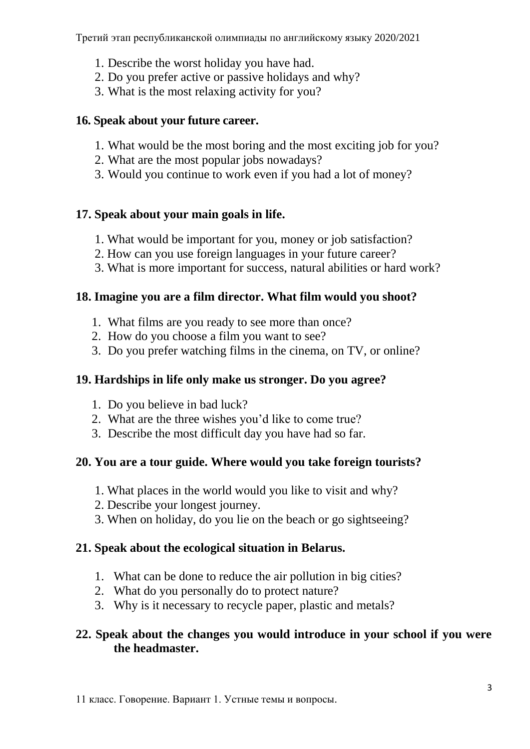- 1. Describe the worst holiday you have had.
- 2. Do you prefer active or passive holidays and why?
- 3. What is the most relaxing activity for you?

## **16. Speak about your future career.**

- 1. What would be the most boring and the most exciting job for you?
- 2. What are the most popular jobs nowadays?
- 3. Would you continue to work even if you had a lot of money?

## **17. Speak about your main goals in life.**

- 1. What would be important for you, money or job satisfaction?
- 2. How can you use foreign languages in your future career?
- 3. What is more important for success, natural abilities or hard work?

## **18. Imagine you are a film director. What film would you shoot?**

- 1. What films are you ready to see more than once?
- 2. How do you choose a film you want to see?
- 3. Do you prefer watching films in the cinema, on TV, or online?

## **19. Hardships in life only make us stronger. Do you agree?**

- 1. Do you believe in bad luck?
- 2. What are the three wishes you'd like to come true?
- 3. Describe the most difficult day you have had so far.

# **20. You are a tour guide. Where would you take foreign tourists?**

- 1. What places in the world would you like to visit and why?
- 2. Describe your longest journey.
- 3. When on holiday, do you lie on the beach or go sightseeing?

# **21. Speak about the ecological situation in Belarus.**

- 1. What can be done to reduce the air pollution in big cities?
- 2. What do you personally do to protect nature?
- 3. Why is it necessary to recycle paper, plastic and metals?

## **22. Speak about the changes you would introduce in your school if you were the headmaster.**